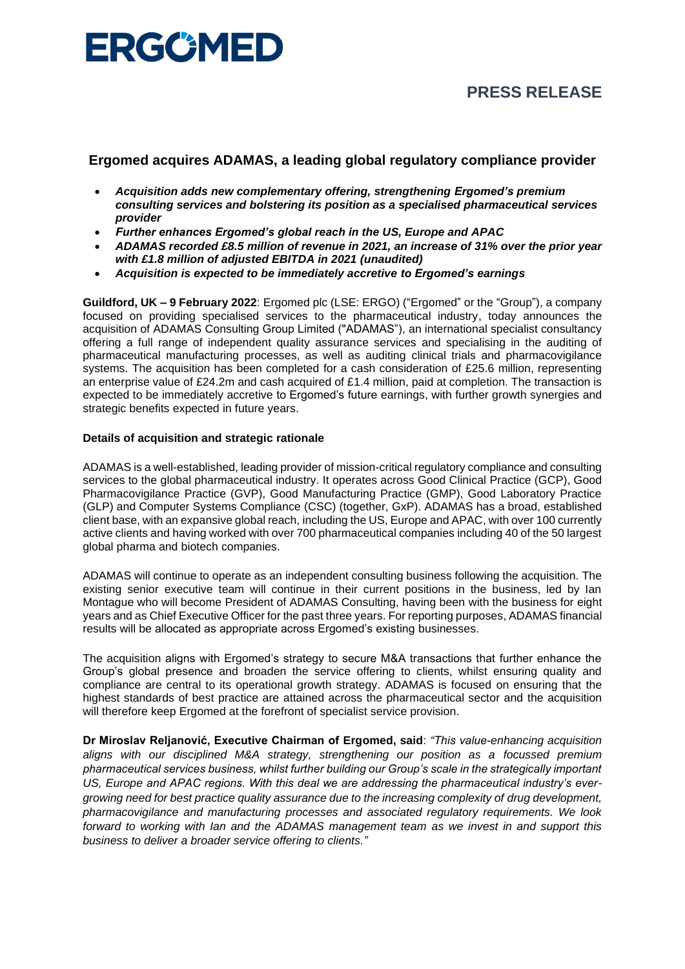

# **PRESS RELEASE**

## **Ergomed acquires ADAMAS, a leading global regulatory compliance provider**

- *Acquisition adds new complementary offering, strengthening Ergomed's premium consulting services and bolstering its position as a specialised pharmaceutical services provider*
- *Further enhances Ergomed's global reach in the US, Europe and APAC*
- *ADAMAS recorded £8.5 million of revenue in 2021, an increase of 31% over the prior year with £1.8 million of adjusted EBITDA in 2021 (unaudited)*
- *Acquisition is expected to be immediately accretive to Ergomed's earnings*

**Guildford, UK – 9 February 2022**: Ergomed plc (LSE: ERGO) ("Ergomed" or the "Group"), a company focused on providing specialised services to the pharmaceutical industry, today announces the acquisition of ADAMAS Consulting Group Limited ("ADAMAS"), an international specialist consultancy offering a full range of independent quality assurance services and specialising in the auditing of pharmaceutical manufacturing processes, as well as auditing clinical trials and pharmacovigilance systems. The acquisition has been completed for a cash consideration of £25.6 million, representing an enterprise value of £24.2m and cash acquired of £1.4 million, paid at completion. The transaction is expected to be immediately accretive to Ergomed's future earnings, with further growth synergies and strategic benefits expected in future years.

#### **Details of acquisition and strategic rationale**

ADAMAS is a well-established, leading provider of mission-critical regulatory compliance and consulting services to the global pharmaceutical industry. It operates across Good Clinical Practice (GCP), Good Pharmacovigilance Practice (GVP), Good Manufacturing Practice (GMP), Good Laboratory Practice (GLP) and Computer Systems Compliance (CSC) (together, GxP). ADAMAS has a broad, established client base, with an expansive global reach, including the US, Europe and APAC, with over 100 currently active clients and having worked with over 700 pharmaceutical companies including 40 of the 50 largest global pharma and biotech companies.

ADAMAS will continue to operate as an independent consulting business following the acquisition. The existing senior executive team will continue in their current positions in the business, led by Ian Montague who will become President of ADAMAS Consulting, having been with the business for eight years and as Chief Executive Officer for the past three years. For reporting purposes, ADAMAS financial results will be allocated as appropriate across Ergomed's existing businesses.

The acquisition aligns with Ergomed's strategy to secure M&A transactions that further enhance the Group's global presence and broaden the service offering to clients, whilst ensuring quality and compliance are central to its operational growth strategy. ADAMAS is focused on ensuring that the highest standards of best practice are attained across the pharmaceutical sector and the acquisition will therefore keep Ergomed at the forefront of specialist service provision.

**Dr Miroslav Reljanović, Executive Chairman of Ergomed, said**: *"This value-enhancing acquisition aligns with our disciplined M&A strategy, strengthening our position as a focussed premium pharmaceutical services business, whilst further building our Group's scale in the strategically important US, Europe and APAC regions. With this deal we are addressing the pharmaceutical industry's evergrowing need for best practice quality assurance due to the increasing complexity of drug development, pharmacovigilance and manufacturing processes and associated regulatory requirements. We look forward to working with Ian and the ADAMAS management team as we invest in and support this business to deliver a broader service offering to clients."*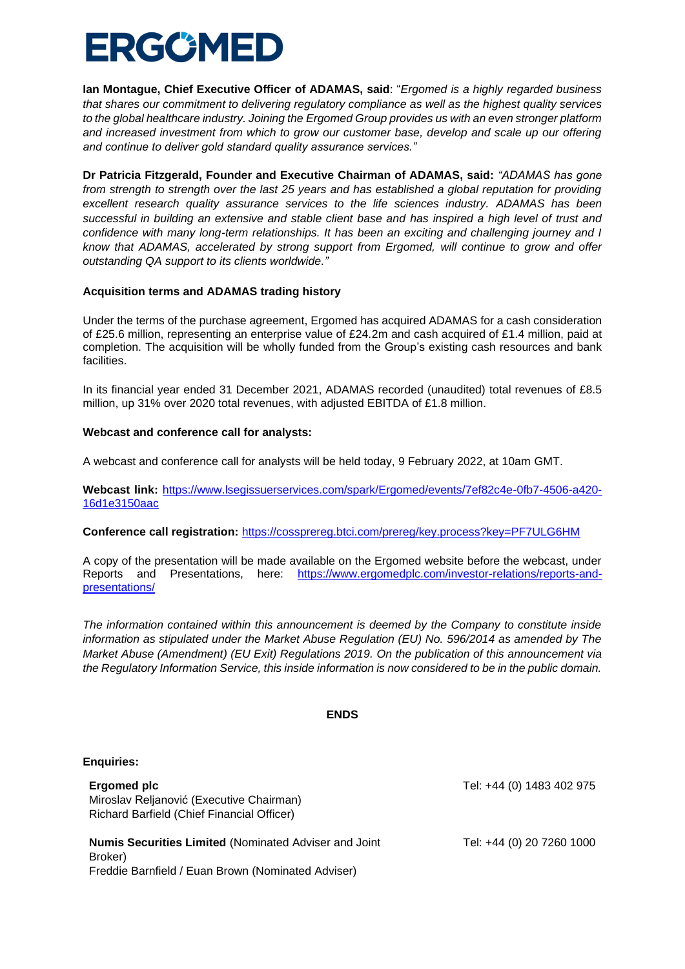# ERGCMED

**Ian Montague, Chief Executive Officer of ADAMAS, said**: "*Ergomed is a highly regarded business that shares our commitment to delivering regulatory compliance as well as the highest quality services to the global healthcare industry. Joining the Ergomed Group provides us with an even stronger platform and increased investment from which to grow our customer base, develop and scale up our offering and continue to deliver gold standard quality assurance services."* 

**Dr Patricia Fitzgerald, Founder and Executive Chairman of ADAMAS, said:** *"ADAMAS has gone from strength to strength over the last 25 years and has established a global reputation for providing excellent research quality assurance services to the life sciences industry. ADAMAS has been successful in building an extensive and stable client base and has inspired a high level of trust and confidence with many long-term relationships. It has been an exciting and challenging journey and I know that ADAMAS, accelerated by strong support from Ergomed, will continue to grow and offer outstanding QA support to its clients worldwide."*

#### **Acquisition terms and ADAMAS trading history**

Under the terms of the purchase agreement, Ergomed has acquired ADAMAS for a cash consideration of £25.6 million, representing an enterprise value of £24.2m and cash acquired of £1.4 million, paid at completion. The acquisition will be wholly funded from the Group's existing cash resources and bank facilities.

In its financial year ended 31 December 2021, ADAMAS recorded (unaudited) total revenues of £8.5 million, up 31% over 2020 total revenues, with adjusted EBITDA of £1.8 million.

#### **Webcast and conference call for analysts:**

A webcast and conference call for analysts will be held today, 9 February 2022, at 10am GMT.

**Webcast link:** [https://www.lsegissuerservices.com/spark/Ergomed/events/7ef82c4e-0fb7-4506-a420-](https://www.lsegissuerservices.com/spark/Ergomed/events/7ef82c4e-0fb7-4506-a420-16d1e3150aac) [16d1e3150aac](https://www.lsegissuerservices.com/spark/Ergomed/events/7ef82c4e-0fb7-4506-a420-16d1e3150aac)

**Conference call registration:** <https://cossprereg.btci.com/prereg/key.process?key=PF7ULG6HM>

A copy of the presentation will be made available on the Ergomed website before the webcast, under Reports and Presentations, here: [https://www.ergomedplc.com/investor-relations/reports-and](https://www.ergomedplc.com/investor-relations/reports-and-presentations/)[presentations/](https://www.ergomedplc.com/investor-relations/reports-and-presentations/)

*The information contained within this announcement is deemed by the Company to constitute inside information as stipulated under the Market Abuse Regulation (EU) No. 596/2014 as amended by The Market Abuse (Amendment) (EU Exit) Regulations 2019. On the publication of this announcement via the Regulatory Information Service, this inside information is now considered to be in the public domain.*

#### **ENDS**

#### **Enquiries:**

| Ergomed plc                                | Tel: +44 (0) 1483 402 975 |
|--------------------------------------------|---------------------------|
| Miroslav Reljanović (Executive Chairman)   |                           |
| Richard Barfield (Chief Financial Officer) |                           |
|                                            |                           |

**Numis Securities Limited** (Nominated Adviser and Joint Broker) Freddie Barnfield / Euan Brown (Nominated Adviser)

Tel: +44 (0) 20 7260 1000